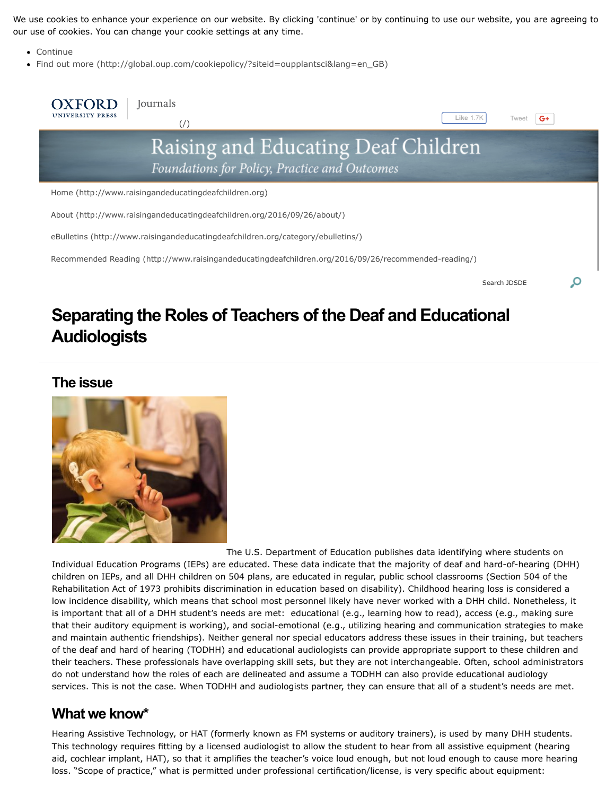We use cookies to enhance your experience on our website. By clicking 'continue' or by continuing to use our website, you are agreeing to our use of cookies. You can change your cookie settings at any time.

- Continue
- [Find out more \(http://global.oup.com/cookiepolicy/?siteid=oupplantsci&lang=en\\_GB\)](http://global.oup.com/cookiepolicy/?siteid=oupplantsci&lang=en_GB)



# **Separating the Roles of Teachers of the Deaf and Educational Audiologists**

### **The issue**



The U.S. Department of Education publishes data identifying where students on Individual Education Programs (IEPs) are educated. These data indicate that the majority of deaf and hard-of-hearing (DHH) children on IEPs, and all DHH children on 504 plans, are educated in regular, public school classrooms (Section 504 of the Rehabilitation Act of 1973 prohibits discrimination in education based on disability). Childhood hearing loss is considered a low incidence disability, which means that school most personnel likely have never worked with a DHH child. Nonetheless, it is important that all of a DHH student's needs are met: educational (e.g., learning how to read), access (e.g., making sure that their auditory equipment is working), and social-emotional (e.g., utilizing hearing and communication strategies to make and maintain authentic friendships). Neither general nor special educators address these issues in their training, but teachers of the deaf and hard of hearing (TODHH) and educational audiologists can provide appropriate support to these children and their teachers. These professionals have overlapping skill sets, but they are not interchangeable. Often, school administrators do not understand how the roles of each are delineated and assume a TODHH can also provide educational audiology services. This is not the case. When TODHH and audiologists partner, they can ensure that all of a student's needs are met.

### **What we know\***

Hearing Assistive Technology, or HAT (formerly known as FM systems or auditory trainers), is used by many DHH students. This technology requires fitting by a licensed audiologist to allow the student to hear from all assistive equipment (hearing aid, cochlear implant, HAT), so that it amplifies the teacher's voice loud enough, but not loud enough to cause more hearing loss. "Scope of practice," what is permitted under professional certification/license, is very specific about equipment: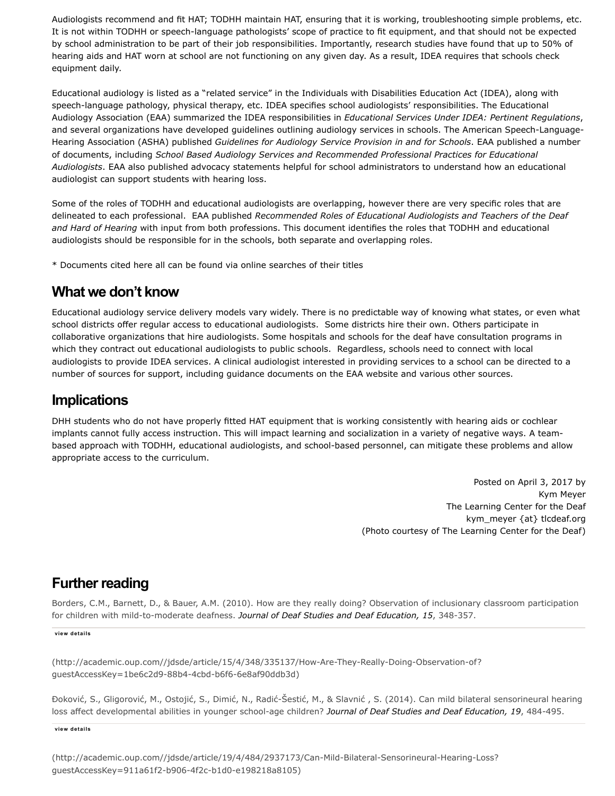Audiologists recommend and fit HAT; TODHH maintain HAT, ensuring that it is working, troubleshooting simple problems, etc. It is not within TODHH or speech-language pathologists' scope of practice to fit equipment, and that should not be expected by school administration to be part of their job responsibilities. Importantly, research studies have found that up to 50% of hearing aids and HAT worn at school are not functioning on any given day. As a result, IDEA requires that schools check equipment daily.

Educational audiology is listed as a "related service" in the Individuals with Disabilities Education Act (IDEA), along with speech-language pathology, physical therapy, etc. IDEA specifies school audiologists' responsibilities. The Educational Audiology Association (EAA) summarized the IDEA responsibilities in *Educational Services Under IDEA: Pertinent Regulations*, and several organizations have developed guidelines outlining audiology services in schools. The American Speech-Language-Hearing Association (ASHA) published *Guidelines for Audiology Service Provision in and for Schools*. EAA published a number of documents, including *School Based Audiology Services and Recommended Professional Practices for Educational Audiologists*. EAA also published advocacy statements helpful for school administrators to understand how an educational audiologist can support students with hearing loss.

Some of the roles of TODHH and educational audiologists are overlapping, however there are very specific roles that are delineated to each professional. EAA published *Recommended Roles of Educational Audiologists and Teachers of the Deaf and Hard of Hearing* with input from both professions. This document identifies the roles that TODHH and educational audiologists should be responsible for in the schools, both separate and overlapping roles.

\* Documents cited here all can be found via online searches of their titles

### **What we don't know**

Educational audiology service delivery models vary widely. There is no predictable way of knowing what states, or even what school districts offer regular access to educational audiologists. Some districts hire their own. Others participate in collaborative organizations that hire audiologists. Some hospitals and schools for the deaf have consultation programs in which they contract out educational audiologists to public schools. Regardless, schools need to connect with local audiologists to provide IDEA services. A clinical audiologist interested in providing services to a school can be directed to a number of sources for support, including guidance documents on the EAA website and various other sources.

## **Implications**

DHH students who do not have properly fitted HAT equipment that is working consistently with hearing aids or cochlear implants cannot fully access instruction. This will impact learning and socialization in a variety of negative ways. A teambased approach with TODHH, educational audiologists, and school-based personnel, can mitigate these problems and allow appropriate access to the curriculum.

> Posted on April 3, 2017 by Kym Meyer The Learning Center for the Deaf kym\_meyer {at} tlcdeaf.org (Photo courtesy of The Learning Center for the Deaf)

# **Further reading**

[Borders, C.M., Barnett, D., & Bauer, A.M. \(2010\). How are they really doing? Observation of inclusionary classroom participation](http://academic.oup.com//jdsde/article/15/4/348/335137/How-Are-They-Really-Doing-Observation-of?guestAccessKey=1be6c2d9-88b4-4cbd-b6f6-6e8af90ddb3d) for children with mild-to-moderate deafness. *Journal of Deaf Studies and Deaf Education, 15*, 348-357.

**view details**

(http://academic.oup.com//jdsde/article/15/4/348/335137/How-Are-They-Really-Doing-Observation-of? guestAccessKey=1be6c2d9-88b4-4cbd-b6f6-6e8af90ddb3d)

[Đoković, S., Gligorović, M., Ostojić, S., Dimić, N., Radić-Šestić, M., & Slavnić , S. \(2014\). Can mild bilateral sensorineural hearing](http://academic.oup.com//jdsde/article/19/4/484/2937173/Can-Mild-Bilateral-Sensorineural-Hearing-Loss?guestAccessKey=911a61f2-b906-4f2c-b1d0-e198218a8105) loss affect developmental abilities in younger school-age children? *Journal of Deaf Studies and Deaf Education, 19*, 484-495.

**view details**